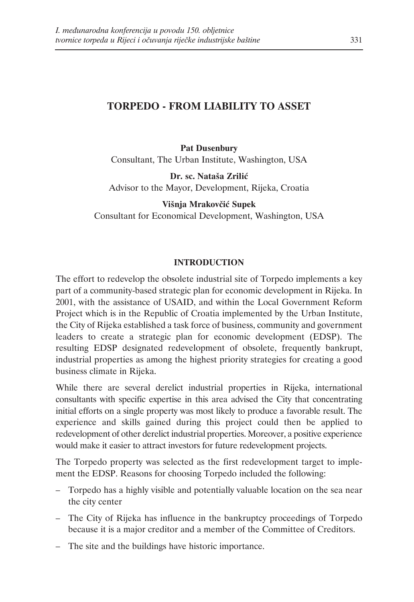# **TORPEDO - FROM LIABILITY TO ASSET**

**Pat Dusenbury** Consultant, The Urban Institute, Washington, USA

**Dr. sc. Nataša Zrilić** Advisor to the Mayor, Development, Rijeka, Croatia

**Višnja Mrakovčić Supek** Consultant for Economical Development, Washington, USA

#### **INTRODUCTION**

The effort to redevelop the obsolete industrial site of Torpedo implements a key part of a community-based strategic plan for economic development in Rijeka. In 2001, with the assistance of USAID, and within the Local Government Reform Project which is in the Republic of Croatia implemented by the Urban Institute, the City of Rijeka established a task force of business, community and government leaders to create a strategic plan for economic development (EDSP). The resulting EDSP designated redevelopment of obsolete, frequently bankrupt, industrial properties as among the highest priority strategies for creating a good business climate in Rijeka.

While there are several derelict industrial properties in Rijeka, international consultants with specific expertise in this area advised the City that concentrating initial efforts on a single property was most likely to produce a favorable result. The experience and skills gained during this project could then be applied to redevelopment of other derelict industrial properties. Moreover, a positive experience would make it easier to attract investors for future redevelopment projects.

The Torpedo property was selected as the first redevelopment target to implement the EDSP. Reasons for choosing Torpedo included the following:

- Torpedo has a highly visible and potentially valuable location on the sea near the city center
- The City of Rijeka has influence in the bankruptcy proceedings of Torpedo because it is a major creditor and a member of the Committee of Creditors.
- The site and the buildings have historic importance.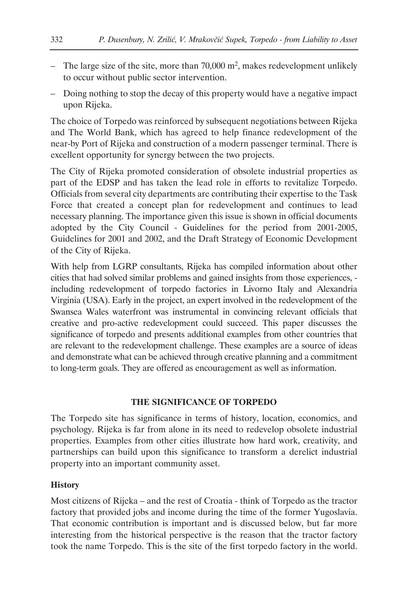- The large size of the site, more than  $70,000$  m<sup>2</sup>, makes redevelopment unlikely to occur without public sector intervention.
- Doing nothing to stop the decay of this property would have a negative impact upon Rijeka.

The choice of Torpedo was reinforced by subsequent negotiations between Rijeka and The World Bank, which has agreed to help finance redevelopment of the near-by Port of Rijeka and construction of a modern passenger terminal. There is excellent opportunity for synergy between the two projects.

The City of Rijeka promoted consideration of obsolete industrial properties as part of the EDSP and has taken the lead role in efforts to revitalize Torpedo. Officials from several city departments are contributing their expertise to the Task Force that created a concept plan for redevelopment and continues to lead necessary planning. The importance given this issue is shown in official documents adopted by the City Council - Guidelines for the period from 2001-2005, Guidelines for 2001 and 2002, and the Draft Strategy of Economic Development of the City of Rijeka.

With help from LGRP consultants, Rijeka has compiled information about other cities that had solved similar problems and gained insights from those experiences, including redevelopment of torpedo factories in Livorno Italy and Alexandria Virginia (USA). Early in the project, an expert involved in the redevelopment of the Swansea Wales waterfront was instrumental in convincing relevant officials that creative and pro-active redevelopment could succeed. This paper discusses the significance of torpedo and presents additional examples from other countries that are relevant to the redevelopment challenge. These examples are a source of ideas and demonstrate what can be achieved through creative planning and a commitment to long-term goals. They are offered as encouragement as well as information.

### **THE SIGNIFICANCE OF TORPEDO**

The Torpedo site has significance in terms of history, location, economics, and psychology. Rijeka is far from alone in its need to redevelop obsolete industrial properties. Examples from other cities illustrate how hard work, creativity, and partnerships can build upon this significance to transform a derelict industrial property into an important community asset.

### **History**

Most citizens of Rijeka – and the rest of Croatia - think of Torpedo as the tractor factory that provided jobs and income during the time of the former Yugoslavia. That economic contribution is important and is discussed below, but far more interesting from the historical perspective is the reason that the tractor factory took the name Torpedo. This is the site of the first torpedo factory in the world.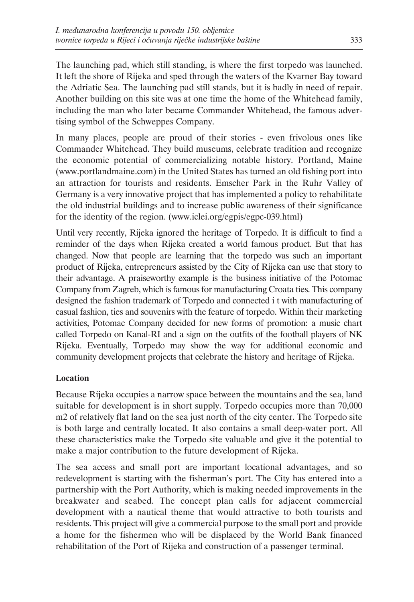The launching pad, which still standing, is where the first torpedo was launched. It left the shore of Rijeka and sped through the waters of the Kvarner Bay toward the Adriatic Sea. The launching pad still stands, but it is badly in need of repair. Another building on this site was at one time the home of the Whitehead family, including the man who later became Commander Whitehead, the famous advertising symbol of the Schweppes Company.

In many places, people are proud of their stories - even frivolous ones like Commander Whitehead. They build museums, celebrate tradition and recognize the economic potential of commercializing notable history. Portland, Maine (www.portlandmaine.com) in the United States has turned an old fishing port into an attraction for tourists and residents. Emscher Park in the Ruhr Valley of Germany is a very innovative project that has implemented a policy to rehabilitate the old industrial buildings and to increase public awareness of their significance for the identity of the region. (www.iclei.org/egpis/egpc-039.html)

Until very recently, Rijeka ignored the heritage of Torpedo. It is difficult to find a reminder of the days when Rijeka created a world famous product. But that has changed. Now that people are learning that the torpedo was such an important product of Rijeka, entrepreneurs assisted by the City of Rijeka can use that story to their advantage. A praiseworthy example is the business initiative of the Potomac Company from Zagreb, which is famous for manufacturing Croata ties. This company designed the fashion trademark of Torpedo and connected i t with manufacturing of casual fashion, ties and souvenirs with the feature of torpedo. Within their marketing activities, Potomac Company decided for new forms of promotion: a music chart called Torpedo on Kanal-RI and a sign on the outfits of the football players of NK Rijeka. Eventually, Torpedo may show the way for additional economic and community development projects that celebrate the history and heritage of Rijeka.

## **Location**

Because Rijeka occupies a narrow space between the mountains and the sea, land suitable for development is in short supply. Torpedo occupies more than 70,000 m2 of relatively flat land on the sea just north of the city center. The Torpedo site is both large and centrally located. It also contains a small deep-water port. All these characteristics make the Torpedo site valuable and give it the potential to make a major contribution to the future development of Rijeka.

The sea access and small port are important locational advantages, and so redevelopment is starting with the fisherman's port. The City has entered into a partnership with the Port Authority, which is making needed improvements in the breakwater and seabed. The concept plan calls for adjacent commercial development with a nautical theme that would attractive to both tourists and residents. This project will give a commercial purpose to the small port and provide a home for the fishermen who will be displaced by the World Bank financed rehabilitation of the Port of Rijeka and construction of a passenger terminal.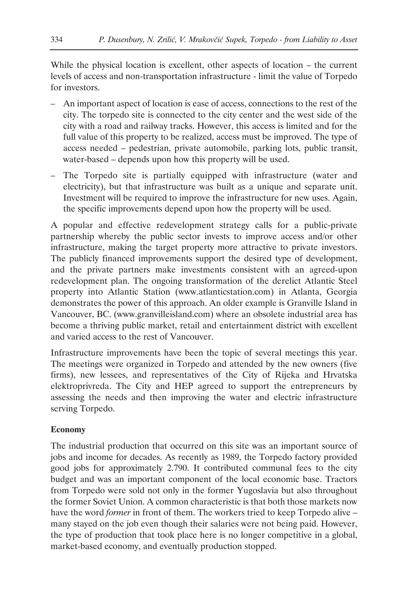While the physical location is excellent, other aspects of location – the current levels of access and non-transportation infrastructure - limit the value of Torpedo for investors.

- An important aspect of location is ease of access, connections to the rest of the city. The torpedo site is connected to the city center and the west side of the city with a road and railway tracks. However, this access is limited and for the full value of this property to be realized, access must be improved. The type of access needed – pedestrian, private automobile, parking lots, public transit, water-based – depends upon how this property will be used.
- The Torpedo site is partially equipped with infrastructure (water and electricity), but that infrastructure was built as a unique and separate unit. Investment will be required to improve the infrastructure for new uses. Again, the specific improvements depend upon how the property will be used.

A popular and effective redevelopment strategy calls for a public-private partnership whereby the public sector invests to improve access and/or other infrastructure, making the target property more attractive to private investors. The publicly financed improvements support the desired type of development, and the private partners make investments consistent with an agreed-upon redevelopment plan. The ongoing transformation of the derelict Atlantic Steel property into Atlantic Station (www.atlanticstation.com) in Atlanta, Georgia demonstrates the power of this approach. An older example is Granville Island in Vancouver, BC. (www.granvilleisland.com) where an obsolete industrial area has become a thriving public market, retail and entertainment district with excellent and varied access to the rest of Vancouver.

Infrastructure improvements have been the topic of several meetings this year. The meetings were organized in Torpedo and attended by the new owners (five firms), new lessees, and representatives of the City of Rijeka and Hrvatska elektroprivreda. The City and HEP agreed to support the entrepreneurs by assessing the needs and then improving the water and electric infrastructure serving Torpedo.

### **Economy**

The industrial production that occurred on this site was an important source of jobs and income for decades. As recently as 1989, the Torpedo factory provided good jobs for approximately 2.790. It contributed communal fees to the city budget and was an important component of the local economic base. Tractors from Torpedo were sold not only in the former Yugoslavia but also throughout the former Soviet Union. A common characteristic is that both those markets now have the word *former* in front of them. The workers tried to keep Torpedo alive – many stayed on the job even though their salaries were not being paid. However, the type of production that took place here is no longer competitive in a global, market-based economy, and eventually production stopped.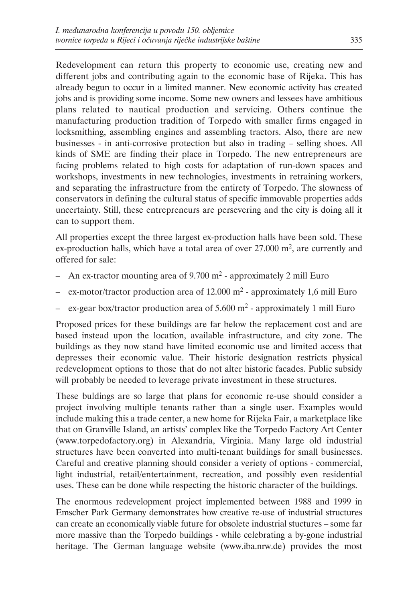Redevelopment can return this property to economic use, creating new and different jobs and contributing again to the economic base of Rijeka. This has already begun to occur in a limited manner. New economic activity has created jobs and is providing some income. Some new owners and lessees have ambitious plans related to nautical production and servicing. Others continue the manufacturing production tradition of Torpedo with smaller firms engaged in locksmithing, assembling engines and assembling tractors. Also, there are new businesses - in anti-corrosive protection but also in trading – selling shoes. All kinds of SME are finding their place in Torpedo. The new entrepreneurs are facing problems related to high costs for adaptation of run-down spaces and workshops, investments in new technologies, investments in retraining workers, and separating the infrastructure from the entirety of Torpedo. The slowness of conservators in defining the cultural status of specific immovable properties adds uncertainty. Still, these entrepreneurs are persevering and the city is doing all it can to support them.

All properties except the three largest ex-production halls have been sold. These ex-production halls, which have a total area of over  $27.000 \text{ m}^2$ , are currently and offered for sale:

- An ex-tractor mounting area of  $9.700 \text{ m}^2$  approximately 2 mill Euro
- $-$  ex-motor/tractor production area of 12.000 m<sup>2</sup> approximately 1,6 mill Euro
- ex-gear box/tractor production area of  $5.600 \text{ m}^2$  approximately 1 mill Euro

Proposed prices for these buildings are far below the replacement cost and are based instead upon the location, available infrastructure, and city zone. The buildings as they now stand have limited economic use and limited access that depresses their economic value. Their historic designation restricts physical redevelopment options to those that do not alter historic facades. Public subsidy will probably be needed to leverage private investment in these structures.

These buldings are so large that plans for economic re-use should consider a project involving multiple tenants rather than a single user. Examples would include making this a trade center, a new home for Rijeka Fair, a marketplace like that on Granville Island, an artists' complex like the Torpedo Factory Art Center (www.torpedofactory.org) in Alexandria, Virginia. Many large old industrial structures have been converted into multi-tenant buildings for small businesses. Careful and creative planning should consider a veriety of options - commercial, light industrial, retail/entertainment, recreation, and possibly even residential uses. These can be done while respecting the historic character of the buildings.

The enormous redevelopment project implemented between 1988 and 1999 in Emscher Park Germany demonstrates how creative re-use of industrial structures can create an economically viable future for obsolete industrial stuctures – some far more massive than the Torpedo buildings - while celebrating a by-gone industrial heritage. The German language website (www.iba.nrw.de) provides the most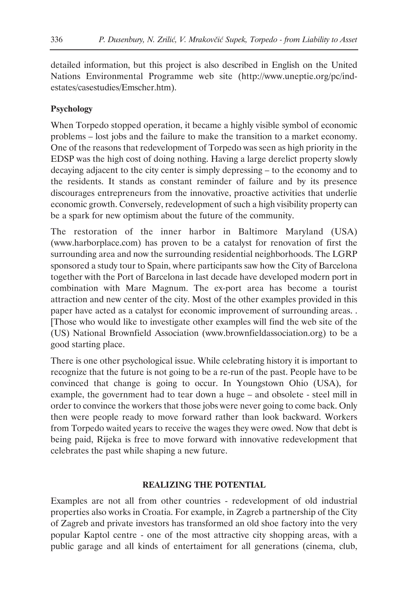detailed information, but this project is also described in English on the United Nations Environmental Programme web site (http://www.uneptie.org/pc/indestates/casestudies/Emscher.htm).

### **Psychology**

When Torpedo stopped operation, it became a highly visible symbol of economic problems – lost jobs and the failure to make the transition to a market economy. One of the reasons that redevelopment of Torpedo was seen as high priority in the EDSP was the high cost of doing nothing. Having a large derelict property slowly decaying adjacent to the city center is simply depressing – to the economy and to the residents. It stands as constant reminder of failure and by its presence discourages entrepreneurs from the innovative, proactive activities that underlie economic growth. Conversely, redevelopment of such a high visibility property can be a spark for new optimism about the future of the community.

The restoration of the inner harbor in Baltimore Maryland (USA) (www.harborplace.com) has proven to be a catalyst for renovation of first the surrounding area and now the surrounding residential neighborhoods. The LGRP sponsored a study tour to Spain, where participants saw how the City of Barcelona together with the Port of Barcelona in last decade have developed modern port in combination with Mare Magnum. The ex-port area has become a tourist attraction and new center of the city. Most of the other examples provided in this paper have acted as a catalyst for economic improvement of surrounding areas. . [Those who would like to investigate other examples will find the web site of the (US) National Brownfield Association (www.brownfieldassociation.org) to be a good starting place.

There is one other psychological issue. While celebrating history it is important to recognize that the future is not going to be a re-run of the past. People have to be convinced that change is going to occur. In Youngstown Ohio (USA), for example, the government had to tear down a huge – and obsolete - steel mill in order to convince the workers that those jobs were never going to come back. Only then were people ready to move forward rather than look backward. Workers from Torpedo waited years to receive the wages they were owed. Now that debt is being paid, Rijeka is free to move forward with innovative redevelopment that celebrates the past while shaping a new future.

#### **REALIZING THE POTENTIAL**

Examples are not all from other countries - redevelopment of old industrial properties also works in Croatia. For example, in Zagreb a partnership of the City of Zagreb and private investors has transformed an old shoe factory into the very popular Kaptol centre - one of the most attractive city shopping areas, with a public garage and all kinds of entertaiment for all generations (cinema, club,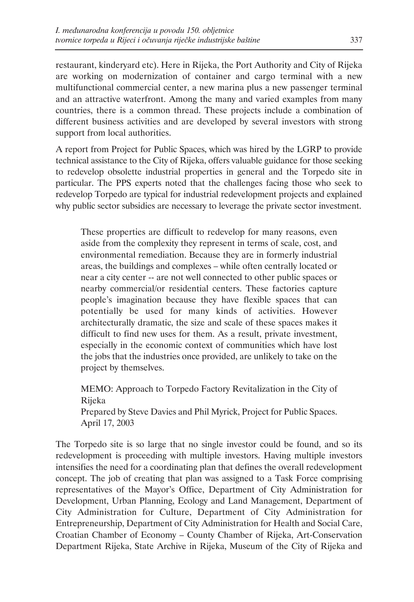restaurant, kinderyard etc). Here in Rijeka, the Port Authority and City of Rijeka are working on modernization of container and cargo terminal with a new multifunctional commercial center, a new marina plus a new passenger terminal and an attractive waterfront. Among the many and varied examples from many countries, there is a common thread. These projects include a combination of different business activities and are developed by several investors with strong support from local authorities.

A report from Project for Public Spaces, which was hired by the LGRP to provide technical assistance to the City of Rijeka, offers valuable guidance for those seeking to redevelop obsolette industrial properties in general and the Torpedo site in particular. The PPS experts noted that the challenges facing those who seek to redevelop Torpedo are typical for industrial redevelopment projects and explained why public sector subsidies are necessary to leverage the private sector investment.

These properties are difficult to redevelop for many reasons, even aside from the complexity they represent in terms of scale, cost, and environmental remediation. Because they are in formerly industrial areas, the buildings and complexes – while often centrally located or near a city center -- are not well connected to other public spaces or nearby commercial/or residential centers. These factories capture people's imagination because they have flexible spaces that can potentially be used for many kinds of activities. However architecturally dramatic, the size and scale of these spaces makes it difficult to find new uses for them. As a result, private investment, especially in the economic context of communities which have lost the jobs that the industries once provided, are unlikely to take on the project by themselves.

MEMO: Approach to Torpedo Factory Revitalization in the City of Rijeka Prepared by Steve Davies and Phil Myrick, Project for Public Spaces. April 17, 2003

The Torpedo site is so large that no single investor could be found, and so its redevelopment is proceeding with multiple investors. Having multiple investors intensifies the need for a coordinating plan that defines the overall redevelopment concept. The job of creating that plan was assigned to a Task Force comprising representatives of the Mayor's Office, Department of City Administration for Development, Urban Planning, Ecology and Land Management, Department of City Administration for Culture, Department of City Administration for Entrepreneurship, Department of City Administration for Health and Social Care, Croatian Chamber of Economy – County Chamber of Rijeka, Art-Conservation Department Rijeka, State Archive in Rijeka, Museum of the City of Rijeka and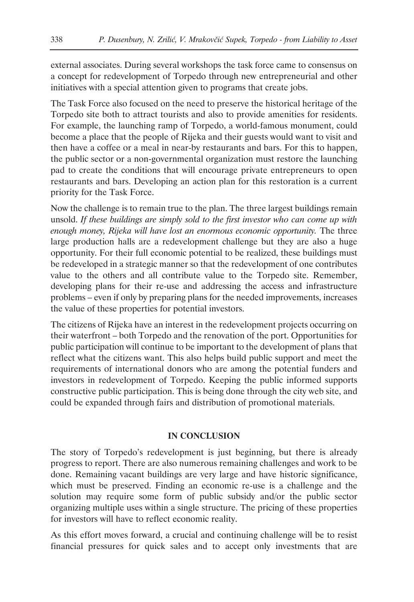external associates. During several workshops the task force came to consensus on a concept for redevelopment of Torpedo through new entrepreneurial and other initiatives with a special attention given to programs that create jobs.

The Task Force also focused on the need to preserve the historical heritage of the Torpedo site both to attract tourists and also to provide amenities for residents. For example, the launching ramp of Torpedo, a world-famous monument, could become a place that the people of Rijeka and their guests would want to visit and then have a coffee or a meal in near-by restaurants and bars. For this to happen, the public sector or a non-governmental organization must restore the launching pad to create the conditions that will encourage private entrepreneurs to open restaurants and bars. Developing an action plan for this restoration is a current priority for the Task Force.

Now the challenge is to remain true to the plan. The three largest buildings remain unsold. *If these buildings are simply sold to the first investor who can come up with enough money, Rijeka will have lost an enormous economic opportunity.* The three large production halls are a redevelopment challenge but they are also a huge opportunity. For their full economic potential to be realized, these buildings must be redeveloped in a strategic manner so that the redevelopment of one contributes value to the others and all contribute value to the Torpedo site. Remember, developing plans for their re-use and addressing the access and infrastructure problems – even if only by preparing plans for the needed improvements, increases the value of these properties for potential investors.

The citizens of Rijeka have an interest in the redevelopment projects occurring on their waterfront – both Torpedo and the renovation of the port. Opportunities for public participation will continue to be important to the development of plans that reflect what the citizens want. This also helps build public support and meet the requirements of international donors who are among the potential funders and investors in redevelopment of Torpedo. Keeping the public informed supports constructive public participation. This is being done through the city web site, and could be expanded through fairs and distribution of promotional materials.

#### **IN CONCLUSION**

The story of Torpedo's redevelopment is just beginning, but there is already progress to report. There are also numerous remaining challenges and work to be done. Remaining vacant buildings are very large and have historic significance, which must be preserved. Finding an economic re-use is a challenge and the solution may require some form of public subsidy and/or the public sector organizing multiple uses within a single structure. The pricing of these properties for investors will have to reflect economic reality.

As this effort moves forward, a crucial and continuing challenge will be to resist financial pressures for quick sales and to accept only investments that are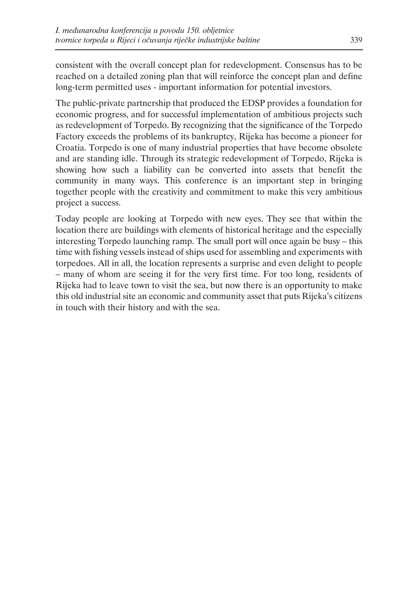consistent with the overall concept plan for redevelopment. Consensus has to be reached on a detailed zoning plan that will reinforce the concept plan and define long-term permitted uses - important information for potential investors.

The public-private partnership that produced the EDSP provides a foundation for economic progress, and for successful implementation of ambitious projects such as redevelopment of Torpedo. By recognizing that the significance of the Torpedo Factory exceeds the problems of its bankruptcy, Rijeka has become a pioneer for Croatia. Torpedo is one of many industrial properties that have become obsolete and are standing idle. Through its strategic redevelopment of Torpedo, Rijeka is showing how such a liability can be converted into assets that benefit the community in many ways. This conference is an important step in bringing together people with the creativity and commitment to make this very ambitious project a success.

Today people are looking at Torpedo with new eyes. They see that within the location there are buildings with elements of historical heritage and the especially interesting Torpedo launching ramp. The small port will once again be busy – this time with fishing vessels instead of ships used for assembling and experiments with torpedoes. All in all, the location represents a surprise and even delight to people – many of whom are seeing it for the very first time. For too long, residents of Rijeka had to leave town to visit the sea, but now there is an opportunity to make this old industrial site an economic and community asset that puts Rijeka's citizens in touch with their history and with the sea.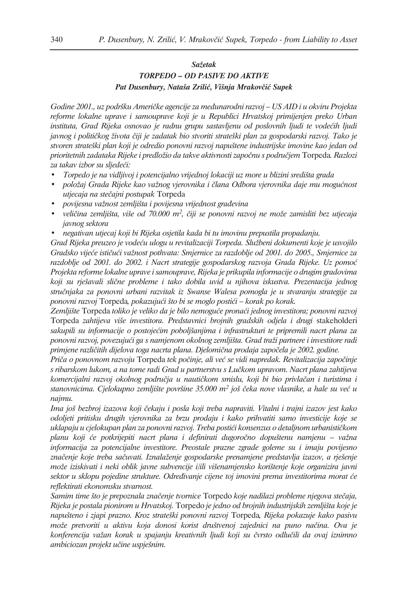#### *Sažetak*

### *TORPEDO – OD PASIVE DO AKTIVE Pat Dusenbury, Nataša Zrilić, Višnja Mrakovčić Supek*

*Godine 2001., uz podršku Američke agencije za međunarodni razvoj – US AID i u okviru Projekta reforme lokalne uprave i samouprave koji je u Republici Hrvatskoj primijenjen preko Urban instituta, Grad Rijeka osnovao je radnu grupu sastavljenu od poslovnih ljudi te vodećih ljudi javnog i političkog života čiji je zadatak bio stvoriti strateški plan za gospodarski razvoj. Tako je stvoren strateški plan koji je odredio ponovni razvoj napuštene industrijske imovine kao jedan od prioritetnih zadataka Rijeke i predložio da takve aktivnosti započnu s područjem* Torpeda*. Razlozi za takav izbor su sljedeći:*

- *Torpedo je na vidljivoj i potencijalno vrijednoj lokaciji uz more u blizini središta grada*
- *položaj Grada Rijeke kao važnog vjerovnika i člana Odbora vjerovnika daje mu mogućnost utjecaja na stečajni postupak* Torpeda
- *povijesna važnost zemljišta i povijesna vrijednost građevina*
- *veličina zemljišta, više od 70.000 m2, čiji se ponovni razvoj ne može zamisliti bez utjecaja javnog sektora*
- *negativan utjecaj koji bi Rijeka osjetila kada bi tu imovinu prepustila propadanju.*

*Grad Rijeka preuzeo je vodeću ulogu u revitalizaciji Torpeda. Službeni dokumenti koje je usvojilo Gradsko vijeće ističući važnost pothvata: Smjernice za razdoblje od 2001. do 2005., Smjernice za razdoblje od 2001. do 2002. i Nacrt strategije gospodarskog razvoja Grada Rijeke. Uz pomoć Projekta reforme lokalne uprave i samouprave, Rijeka je prikupila informacije o drugim gradovima koji su rješavali slične probleme i tako dobila uvid u njihova iskustva. Prezentacija jednog stručnjaka za ponovni urbani razvitak iz Swanse Walesa pomogla je u stvaranju strategije za ponovni razvoj* Torpeda*, pokazujući što bi se moglo postići – korak po korak.*

*Zemljište* Torpeda *toliko je veliko da je bilo nemoguće pronaći jednog investitora; ponovni razvoj* Torpeda *zahtijeva više investitora. Predstavnici brojnih gradskih odjela i drugi* stakeholderi *sakupili su informacije o postojećim poboljšanjima i infrastrukturi te pripremili nacrt plana za ponovni razvoj, povezujući ga s namjenom okolnog zemljišta. Grad traži partnere i investitore radi primjene različitih dijelova toga nacrta plana. Djelomična prodaja započela je 2002. godine.*

*Priča o ponovnom razvoju* Torpeda *tek počinje, ali već se vidi napredak. Revitalizacija započinje s ribarskom lukom, a na tome radi Grad u partnerstvu s Lučkom upravom. Nacrt plana zahtijeva komercijalni razvoj okolnog područja u nautičkom smislu, koji bi bio privlačan i turistima i stanovnicima. Cjelokupno zemljište površine 35.000 m2 još čeka nove vlasnike, a hale su već u najmu.*

*Ima još bezbroj izazova koji čekaju i posla koji treba napraviti. Vitalni i trajni izazov jest kako odoljeti pritisku drugih vjerovnika za brzu prodaju i kako prihvatiti samo investicije koje se uklapaju u cjelokupan plan za ponovni razvoj. Treba postići konsenzus o detaljnom urbanističkom planu koji će potkrijepiti nacrt plana i definirati dugoročno dopuštenu namjenu – važna informacija za potencijalne investitore. Preostale prazne zgrade goleme su i imaju povijesno značenje koje treba sačuvati. Iznalaženje gospodarske prenamjene predstavlja izazov, a rješenje može iziskivati i neki oblik javne subvencije i/ili višenamjensko korištenje koje organizira javni sektor u sklopu pojedine strukture. Određivanje cijene toj imovini prema investitorima morat će reflektirati ekonomsku stvarnost.*

*Samim time što je prepoznala značenje tvornice* Torpedo *koje nadilazi probleme njegova stečaja, Rijeka je postala pionirom u Hrvatskoj.* Torpedo *je jedno od brojnih industrijskih zemljišta koje je napušteno i zjapi prazno. Kroz strateški ponovni razvoj* Torpeda*, Rijeka pokazuje kako pasivu može pretvoriti u aktivu koja donosi korist društvenoj zajednici na puno načina. Ova je konferencija važan korak u spajanju kreativnih ljudi koji su čvrsto odlučili da ovaj iznimno ambiciozan projekt učine uspješnim.*